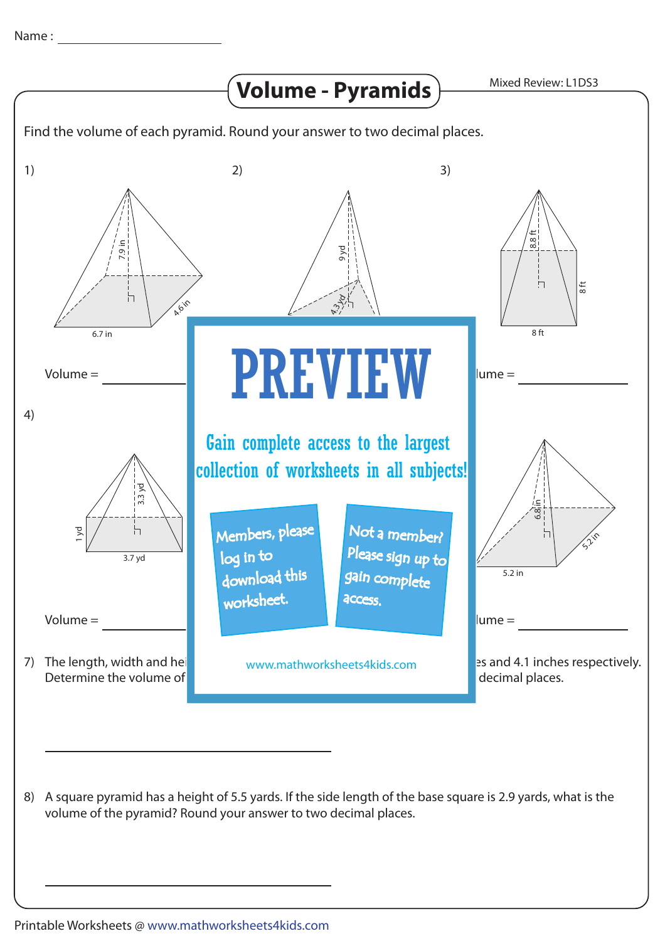